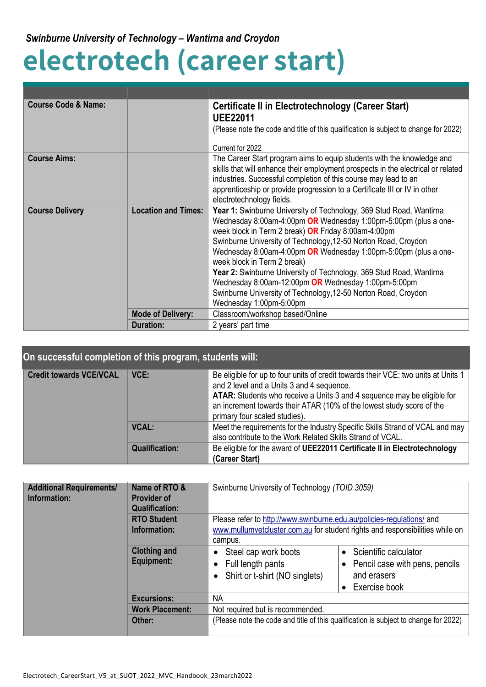## **electrotech (career start)**

| <b>Course Code &amp; Name:</b> |                            | Certificate II in Electrotechnology (Career Start)<br><b>UEE22011</b><br>(Please note the code and title of this qualification is subject to change for 2022)                                                                                                                                                                                                                                                                                                                                                                                                                                |
|--------------------------------|----------------------------|----------------------------------------------------------------------------------------------------------------------------------------------------------------------------------------------------------------------------------------------------------------------------------------------------------------------------------------------------------------------------------------------------------------------------------------------------------------------------------------------------------------------------------------------------------------------------------------------|
|                                |                            |                                                                                                                                                                                                                                                                                                                                                                                                                                                                                                                                                                                              |
|                                |                            | Current for 2022                                                                                                                                                                                                                                                                                                                                                                                                                                                                                                                                                                             |
| <b>Course Aims:</b>            |                            | The Career Start program aims to equip students with the knowledge and<br>skills that will enhance their employment prospects in the electrical or related<br>industries. Successful completion of this course may lead to an<br>apprenticeship or provide progression to a Certificate III or IV in other<br>electrotechnology fields.                                                                                                                                                                                                                                                      |
| <b>Course Delivery</b>         | <b>Location and Times:</b> | Year 1: Swinburne University of Technology, 369 Stud Road, Wantirna<br>Wednesday 8:00am-4:00pm OR Wednesday 1:00pm-5:00pm (plus a one-<br>week block in Term 2 break) OR Friday 8:00am-4:00pm<br>Swinburne University of Technology, 12-50 Norton Road, Croydon<br>Wednesday 8:00am-4:00pm OR Wednesday 1:00pm-5:00pm (plus a one-<br>week block in Term 2 break)<br>Year 2: Swinburne University of Technology, 369 Stud Road, Wantirna<br>Wednesday 8:00am-12:00pm OR Wednesday 1:00pm-5:00pm<br>Swinburne University of Technology, 12-50 Norton Road, Croydon<br>Wednesday 1:00pm-5:00pm |
|                                | <b>Mode of Delivery:</b>   | Classroom/workshop based/Online                                                                                                                                                                                                                                                                                                                                                                                                                                                                                                                                                              |
|                                | <b>Duration:</b>           | 2 years' part time                                                                                                                                                                                                                                                                                                                                                                                                                                                                                                                                                                           |

| On successful completion of this program, students will: |                       |                                                                                                                                                                                                                                                                                                                      |
|----------------------------------------------------------|-----------------------|----------------------------------------------------------------------------------------------------------------------------------------------------------------------------------------------------------------------------------------------------------------------------------------------------------------------|
| <b>Credit towards VCE/VCAL</b>                           | VCE:                  | Be eligible for up to four units of credit towards their VCE: two units at Units 1<br>and 2 level and a Units 3 and 4 sequence.<br>ATAR: Students who receive a Units 3 and 4 sequence may be eligible for<br>an increment towards their ATAR (10% of the lowest study score of the<br>primary four scaled studies). |
|                                                          | <b>VCAL:</b>          | Meet the requirements for the Industry Specific Skills Strand of VCAL and may<br>also contribute to the Work Related Skills Strand of VCAL.                                                                                                                                                                          |
|                                                          | <b>Qualification:</b> | Be eligible for the award of UEE22011 Certificate II in Electrotechnology<br>(Career Start)                                                                                                                                                                                                                          |

| <b>Additional Requirements/</b><br>Information: | Name of RTO &<br><b>Provider of</b><br><b>Qualification:</b> | Swinburne University of Technology (TOID 3059)                                                                                                                   |                                                                                             |
|-------------------------------------------------|--------------------------------------------------------------|------------------------------------------------------------------------------------------------------------------------------------------------------------------|---------------------------------------------------------------------------------------------|
|                                                 | <b>RTO Student</b><br>Information:                           | Please refer to http://www.swinburne.edu.au/policies-regulations/ and<br>www.mullumvetcluster.com.au for student rights and responsibilities while on<br>campus. |                                                                                             |
|                                                 | <b>Clothing and</b><br><b>Equipment:</b>                     | Steel cap work boots<br>Full length pants<br>Shirt or t-shirt (NO singlets)                                                                                      | • Scientific calculator<br>• Pencil case with pens, pencils<br>and erasers<br>Exercise book |
|                                                 | <b>Excursions:</b>                                           | NA                                                                                                                                                               |                                                                                             |
|                                                 | <b>Work Placement:</b>                                       | Not required but is recommended.                                                                                                                                 |                                                                                             |
|                                                 | Other:                                                       |                                                                                                                                                                  | (Please note the code and title of this qualification is subject to change for 2022)        |